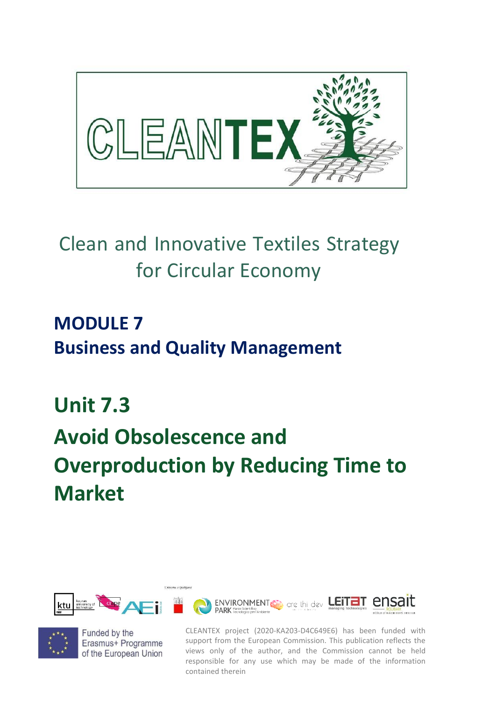

## Clean and Innovative Textiles Strategy for Circular Economy

### **MODULE 7 Business and Quality Management**

# **Unit 7.3 Avoid Obsolescence and Overproduction by Reducing Time to Market**





Funded by the Erasmus+ Programme of the European Union

CLEANTEX project (2020-KA203-D4C649E6) has been funded with support from the European Commission. This publication reflects the views only of the author, and the Commission cannot be held responsible for any use which may be made of the information contained therein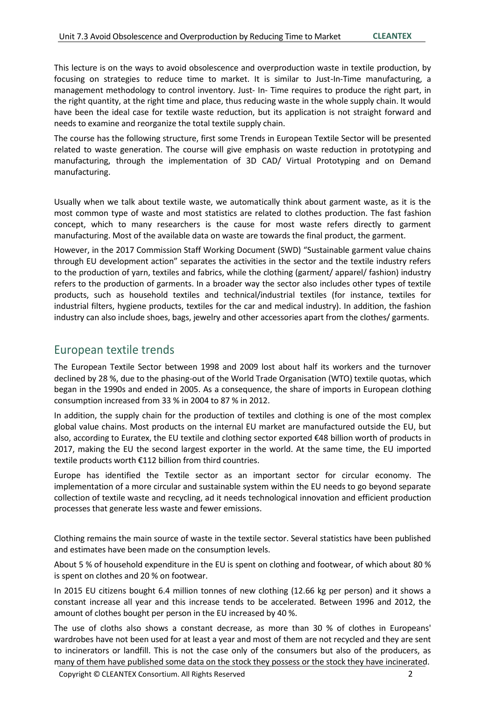This lecture is on the ways to avoid obsolescence and overproduction waste in textile production, by focusing on strategies to reduce time to market. It is similar to Just-In-Time manufacturing, a management methodology to control inventory. Just- In- Time requires to produce the right part, in the right quantity, at the right time and place, thus reducing waste in the whole supply chain. It would have been the ideal case for textile waste reduction, but its application is not straight forward and needs to examine and reorganize the total textile supply chain.

The course has the following structure, first some Trends in European Textile Sector will be presented related to waste generation. The course will give emphasis on waste reduction in prototyping and manufacturing, through the implementation of 3D CAD/ Virtual Prototyping and on Demand manufacturing.

Usually when we talk about textile waste, we automatically think about garment waste, as it is the most common type of waste and most statistics are related to clothes production. The fast fashion concept, which to many researchers is the cause for most waste refers directly to garment manufacturing. Most of the available data on waste are towards the final product, the garment.

However, in the 2017 Commission Staff Working Document (SWD) "Sustainable garment value chains through EU development action" separates the activities in the sector and the textile industry refers to the production of yarn, textiles and fabrics, while the clothing (garment/ apparel/ fashion) industry refers to the production of garments. In a broader way the sector also includes other types of textile products, such as household textiles and technical/industrial textiles (for instance, textiles for industrial filters, hygiene products, textiles for the car and medical industry). In addition, the fashion industry can also include shoes, bags, jewelry and other accessories apart from the clothes/ garments.

#### European textile trends

The European Textile Sector between 1998 and 2009 lost about half its workers and the turnover declined by 28 %, due to the phasing-out of the World Trade Organisation (WTO) textile quotas, which began in the 1990s and ended in 2005. As a consequence, the share of imports in European clothing consumption increased from 33 % in 2004 to 87 % in 2012.

In addition, the supply chain for the production of textiles and clothing is one of the most complex global value chains. Most products on the internal EU market are manufactured outside the EU, but also, according to Euratex, the EU textile and clothing sector exported €48 billion worth of products in 2017, making the EU the second largest exporter in the world. At the same time, the EU imported textile products worth €112 billion from third countries.

Europe has identified the Textile sector as an important sector for circular economy. The implementation of a more circular and sustainable system within the EU needs to go beyond separate collection of textile waste and recycling, ad it needs technological innovation and efficient production processes that generate less waste and fewer emissions.

Clothing remains the main source of waste in the textile sector. Several statistics have been published and estimates have been made on the consumption levels.

About 5 % of household expenditure in the EU is spent on clothing and footwear, of which about 80 % is spent on clothes and 20 % on footwear.

In 2015 EU citizens bought 6.4 million tonnes of new clothing (12.66 kg per person) and it shows a constant increase all year and this increase tends to be accelerated. Between 1996 and 2012, the amount of clothes bought per person in the EU increased by 40 %.

The use of cloths also shows a constant decrease, as more than 30 % of clothes in Europeans' wardrobes have not been used for at least a year and most of them are not recycled and they are sent to incinerators or landfill. This is not the case only of the consumers but also of the producers, as many of them have published some data on the stock they possess or the stock they have incinerated.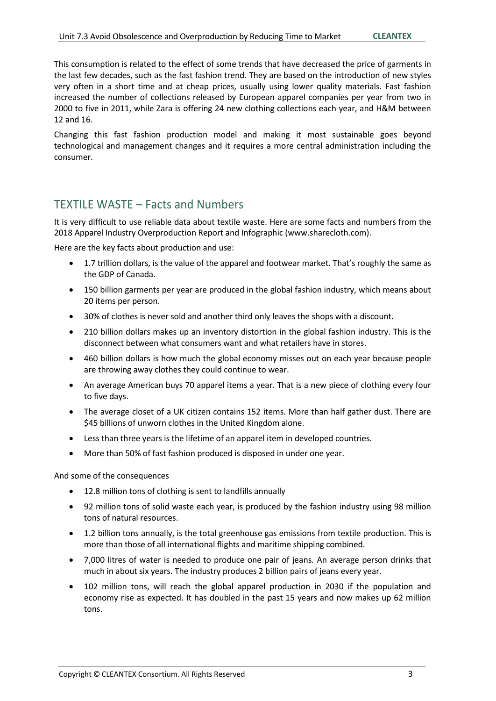This consumption is related to the effect of some trends that have decreased the price of garments in the last few decades, such as the fast fashion trend. They are based on the introduction of new styles very often in a short time and at cheap prices, usually using lower quality materials. Fast fashion increased the number of collections released by European apparel companies per year from two in 2000 to five in 2011, while Zara is offering 24 new clothing collections each year, and H&M between 12 and 16.

Changing this fast fashion production model and making it most sustainable goes beyond technological and management changes and it requires a more central administration including the consumer.

#### TEXTILE WASTE – Facts and Numbers

It is very difficult to use reliable data about textile waste. Here are some facts and numbers from the 2018 Apparel Industry Overproduction Report and Infographic [\(www.sharecloth.com\)](http://www.sharecloth.com/).

Here are the key facts about production and use:

- 1.7 trillion dollars, is the value of the apparel and footwear market. That's roughly the same as the GDP of Canada.
- 150 billion garments per year are produced in the global fashion industry, which means about 20 items per person.
- 30% of clothes is never sold and another third only leaves the shops with a discount.
- 210 billion dollars makes up an inventory distortion in the global fashion industry. This is the disconnect between what consumers want and what retailers have in stores.
- 460 billion dollars is how much the global economy misses out on each year because people are throwing away clothes they could continue to wear.
- An average American buys 70 apparel items a year. That is a new piece of clothing every four to five days.
- The average closet of a UK citizen contains 152 items. More than half gather dust. There are \$45 billions of unworn clothes in the United Kingdom alone.
- Less than three years is the lifetime of an apparel item in developed countries.
- More than 50% of fast fashion produced is disposed in under one year.

And some of the consequences

- 12.8 million tons of clothing is sent to landfills annually
- 92 million tons of solid waste each year, is produced by the fashion industry using 98 million tons of natural resources.
- 1.2 billion tons annually, is the total greenhouse gas emissions from textile production. This is more than those of all international flights and maritime shipping combined.
- 7,000 litres of water is needed to produce one pair of jeans. An average person drinks that much in about six years. The industry produces 2 billion pairs of jeans every year.
- 102 million tons, will reach the global apparel production in 2030 if the population and economy rise as expected. It has doubled in the past 15 years and now makes up 62 million tons.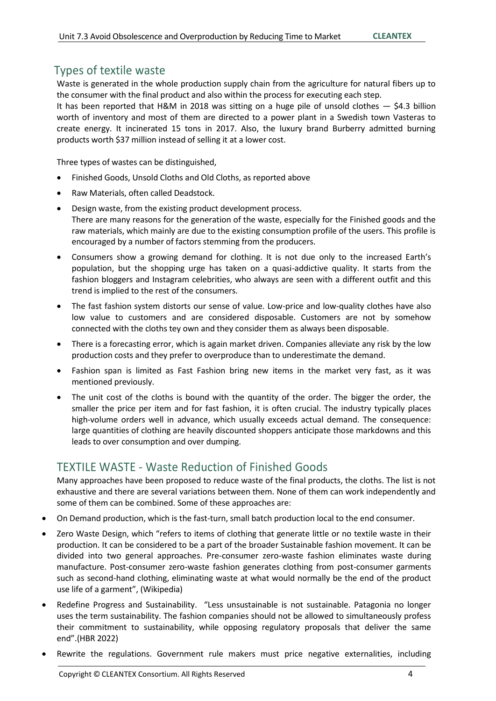#### Types of textile waste

Waste is generated in the whole production supply chain from the agriculture for natural fibers up to the consumer with the final product and also within the process for executing each step.

It has been reported that H&M in 2018 was sitting on a huge pile of unsold clothes  $-$  \$4.3 billion worth of inventory and most of them are directed to a power plant in a Swedish town Vasteras to create energy. It incinerated 15 tons in 2017. Also, the luxury brand Burberry admitted burning products worth \$37 million instead of selling it at a lower cost.

Three types of wastes can be distinguished,

- Finished Goods, Unsold Cloths and Old Cloths, as reported above
- Raw Materials, often called Deadstock.
- Design waste, from the existing product development process. There are many reasons for the generation of the waste, especially for the Finished goods and the raw materials, which mainly are due to the existing consumption profile of the users. This profile is encouraged by a number of factors stemming from the producers.
- Consumers show a growing demand for clothing. It is not due only to the increased Earth's population, but the shopping urge has taken on a quasi-addictive quality. It starts from the fashion bloggers and Instagram celebrities, who always are seen with a different outfit and this trend is implied to the rest of the consumers.
- The fast fashion system distorts our sense of value. Low-price and low-quality clothes have also low value to customers and are considered disposable. Customers are not by somehow connected with the cloths tey own and they consider them as always been disposable.
- There is a forecasting error, which is again market driven. Companies alleviate any risk by the low production costs and they prefer to overproduce than to underestimate the demand.
- Fashion span is limited as Fast Fashion bring new items in the market very fast, as it was mentioned previously.
- The unit cost of the cloths is bound with the quantity of the order. The bigger the order, the smaller the price per item and for fast fashion, it is often crucial. The industry typically places high-volume orders well in advance, which usually exceeds actual demand. The consequence: large quantities of clothing are heavily discounted shoppers anticipate those markdowns and this leads to over consumption and over dumping.

#### TEXTILE WASTE - Waste Reduction of Finished Goods

Many approaches have been proposed to reduce waste of the final products, the cloths. The list is not exhaustive and there are several variations between them. None of them can work independently and some of them can be combined. Some of these approaches are:

- On Demand production, which is the fast-turn, small batch production local to the end consumer.
- Zero Waste Design, which "refers to items of clothing that generate little or no textile waste in their production. It can be considered to be a part of the broader Sustainable fashion movement. It can be divided into two general approaches. Pre-consumer zero-waste fashion eliminates waste during manufacture. Post-consumer zero-waste fashion generates clothing from post-consumer garments such as second-hand clothing, eliminating waste at what would normally be the end of the product use life of a garment", (Wikipedia)
- Redefine Progress and Sustainability. "Less unsustainable is not sustainable. Patagonia no longer uses the term sustainability. The fashion companies should not be allowed to simultaneously profess their commitment to sustainability, while opposing regulatory proposals that deliver the same end".(HBR 2022)
- Rewrite the regulations. Government rule makers must price negative externalities, including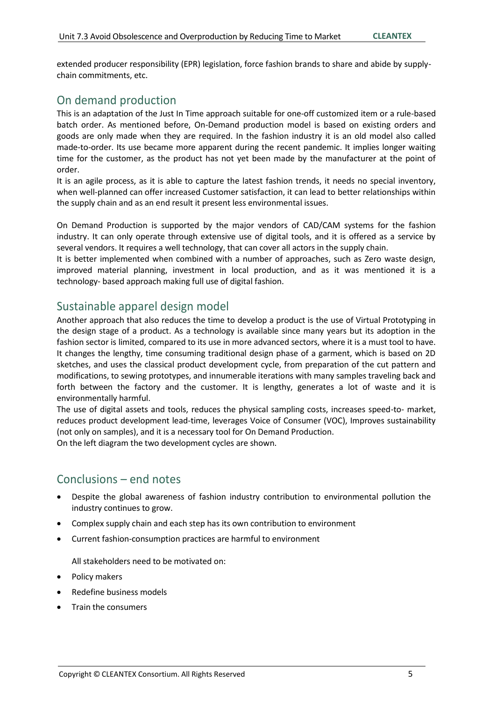extended producer responsibility (EPR) legislation, force fashion brands to share and abide by supplychain commitments, etc.

#### On demand production

This is an adaptation of the Just In Time approach suitable for one-off customized item or a rule-based batch order. As mentioned before, On-Demand production model is based on existing orders and goods are only made when they are required. In the fashion industry it is an old model also called made-to-order. Its use became more apparent during the recent pandemic. It implies longer waiting time for the customer, as the product has not yet been made by the manufacturer at the point of order.

It is an agile process, as it is able to capture the latest fashion trends, it needs no special inventory, when well-planned can offer increased Customer satisfaction, it can lead to better relationships within the supply chain and as an end result it present less environmental issues.

On Demand Production is supported by the major vendors of CAD/CAM systems for the fashion industry. It can only operate through extensive use of digital tools, and it is offered as a service by several vendors. It requires a well technology, that can cover all actors in the supply chain.

It is better implemented when combined with a number of approaches, such as Zero waste design, improved material planning, investment in local production, and as it was mentioned it is a technology- based approach making full use of digital fashion.

#### Sustainable apparel design model

Another approach that also reduces the time to develop a product is the use of Virtual Prototyping in the design stage of a product. As a technology is available since many years but its adoption in the fashion sector is limited, compared to its use in more advanced sectors, where it is a must tool to have. It changes the lengthy, time consuming traditional design phase of a garment, which is based on 2D sketches, and uses the classical product development cycle, from preparation of the cut pattern and modifications, to sewing prototypes, and innumerable iterations with many samples traveling back and forth between the factory and the customer. It is lengthy, generates a lot of waste and it is environmentally harmful.

The use of digital assets and tools, reduces the physical sampling costs, increases speed-to- market, reduces product development lead-time, leverages Voice of Consumer (VOC), Improves sustainability (not only on samples), and it is a necessary tool for On Demand Production.

On the left diagram the two development cycles are shown.

#### Conclusions – end notes

- Despite the global awareness of fashion industry contribution to environmental pollution the industry continues to grow.
- Complex supply chain and each step has its own contribution to environment
- Current fashion-consumption practices are harmful to environment

All stakeholders need to be motivated on:

- Policy makers
- Redefine business models
- Train the consumers